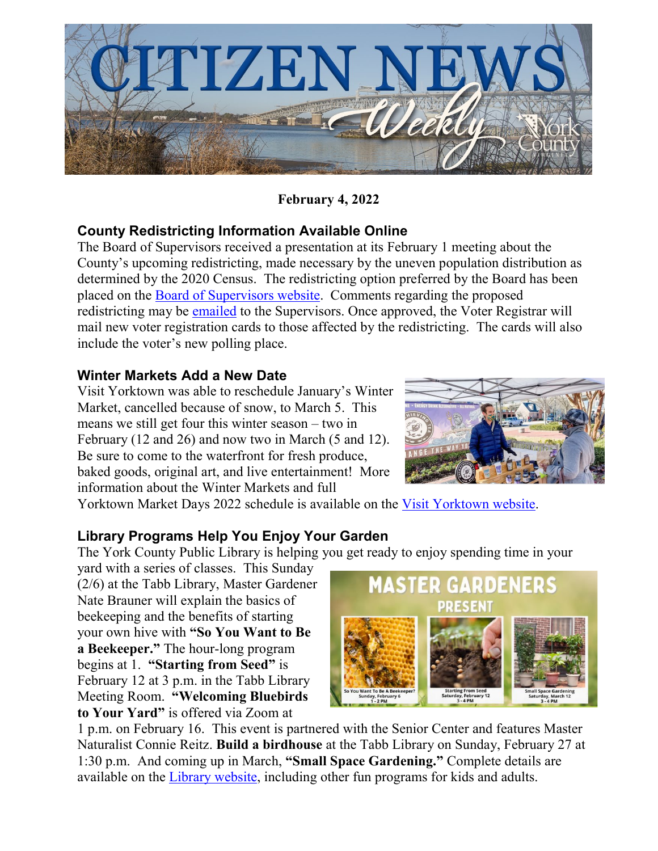

**February 4, 2022**

### **County Redistricting Information Available Online**

The Board of Supervisors received a presentation at its February 1 meeting about the County's upcoming redistricting, made necessary by the uneven population distribution as determined by the 2020 Census. The redistricting option preferred by the Board has been placed on the **Board of Supervisors website**. Comments regarding the proposed redistricting may be [emailed](mailto:bos@yorkcounty.gov) to the Supervisors. Once approved, the Voter Registrar will mail new voter registration cards to those affected by the redistricting. The cards will also include the voter's new polling place.

#### **Winter Markets Add a New Date**

Visit Yorktown was able to reschedule January's Winter Market, cancelled because of snow, to March 5. This means we still get four this winter season – two in February (12 and 26) and now two in March (5 and 12). Be sure to come to the waterfront for fresh produce, baked goods, original art, and live entertainment! More information about the Winter Markets and full



Yorktown Market Days 2022 schedule is available on the [Visit Yorktown website.](https://www.visityorktown.org/)

# **Library Programs Help You Enjoy Your Garden**

The York County Public Library is helping you get ready to enjoy spending time in your

yard with a series of classes. This Sunday (2/6) at the Tabb Library, Master Gardener Nate Brauner will explain the basics of beekeeping and the benefits of starting your own hive with **"So You Want to Be a Beekeeper."** The hour-long program begins at 1. **"Starting from Seed"** is February 12 at 3 p.m. in the Tabb Library Meeting Room. **"Welcoming Bluebirds to Your Yard"** is offered via Zoom at



1 p.m. on February 16. This event is partnered with the Senior Center and features Master Naturalist Connie Reitz. **Build a birdhouse** at the Tabb Library on Sunday, February 27 at 1:30 p.m. And coming up in March, **"Small Space Gardening."** Complete details are available on the [Library website,](https://www.yorkcounty.gov/2314/Public-Library) including other fun programs for kids and adults.